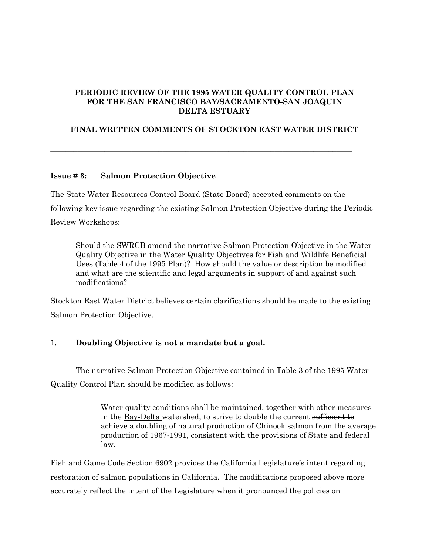## **PERIODIC REVIEW OF THE 1995 WATER QUALITY CONTROL PLAN FOR THE SAN FRANCISCO BAY/SACRAMENTO-SAN JOAQUIN DELTA ESTUARY**

# **FINAL WRITTEN COMMENTS OF STOCKTON EAST WATER DISTRICT**

**\_\_\_\_\_\_\_\_\_\_\_\_\_\_\_\_\_\_\_\_\_\_\_\_\_\_\_\_\_\_\_\_\_\_\_\_\_\_\_\_\_\_\_\_\_\_\_\_\_\_\_\_\_\_\_\_\_\_\_\_\_\_\_\_\_\_\_\_\_\_\_\_\_\_\_\_\_\_** 

# **Issue # 3: Salmon Protection Objective**

The State Water Resources Control Board (State Board) accepted comments on the following key issue regarding the existing Salmon Protection Objective during the Periodic Review Workshops:

Should the SWRCB amend the narrative Salmon Protection Objective in the Water Quality Objective in the Water Quality Objectives for Fish and Wildlife Beneficial Uses (Table 4 of the 1995 Plan)? How should the value or description be modified and what are the scientific and legal arguments in support of and against such modifications?

Stockton East Water District believes certain clarifications should be made to the existing Salmon Protection Objective.

# 1. **Doubling Objective is not a mandate but a goal.**

 The narrative Salmon Protection Objective contained in Table 3 of the 1995 Water Quality Control Plan should be modified as follows:

> Water quality conditions shall be maintained, together with other measures in the Bay-Delta watershed, to strive to double the current sufficient to achieve a doubling of natural production of Chinook salmon from the average production of 1967-1991, consistent with the provisions of State and federal law.

Fish and Game Code Section 6902 provides the California Legislature's intent regarding restoration of salmon populations in California. The modifications proposed above more accurately reflect the intent of the Legislature when it pronounced the policies on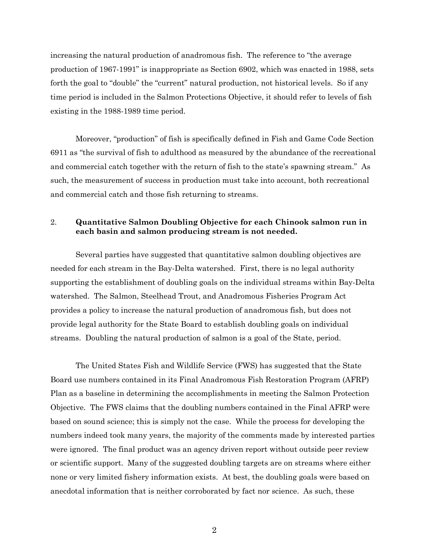increasing the natural production of anadromous fish. The reference to "the average production of 1967-1991" is inappropriate as Section 6902, which was enacted in 1988, sets forth the goal to "double" the "current" natural production, not historical levels. So if any time period is included in the Salmon Protections Objective, it should refer to levels of fish existing in the 1988-1989 time period.

Moreover, "production" of fish is specifically defined in Fish and Game Code Section 6911 as "the survival of fish to adulthood as measured by the abundance of the recreational and commercial catch together with the return of fish to the state's spawning stream." As such, the measurement of success in production must take into account, both recreational and commercial catch and those fish returning to streams.

#### 2. **Quantitative Salmon Doubling Objective for each Chinook salmon run in each basin and salmon producing stream is not needed.**

 Several parties have suggested that quantitative salmon doubling objectives are needed for each stream in the Bay-Delta watershed. First, there is no legal authority supporting the establishment of doubling goals on the individual streams within Bay-Delta watershed. The Salmon, Steelhead Trout, and Anadromous Fisheries Program Act provides a policy to increase the natural production of anadromous fish, but does not provide legal authority for the State Board to establish doubling goals on individual streams. Doubling the natural production of salmon is a goal of the State, period.

The United States Fish and Wildlife Service (FWS) has suggested that the State Board use numbers contained in its Final Anadromous Fish Restoration Program (AFRP) Plan as a baseline in determining the accomplishments in meeting the Salmon Protection Objective. The FWS claims that the doubling numbers contained in the Final AFRP were based on sound science; this is simply not the case. While the process for developing the numbers indeed took many years, the majority of the comments made by interested parties were ignored. The final product was an agency driven report without outside peer review or scientific support. Many of the suggested doubling targets are on streams where either none or very limited fishery information exists. At best, the doubling goals were based on anecdotal information that is neither corroborated by fact nor science. As such, these

2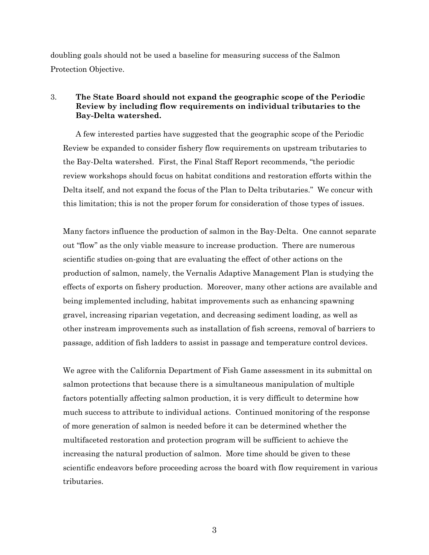doubling goals should not be used a baseline for measuring success of the Salmon Protection Objective.

## 3. **The State Board should not expand the geographic scope of the Periodic Review by including flow requirements on individual tributaries to the Bay-Delta watershed.**

 A few interested parties have suggested that the geographic scope of the Periodic Review be expanded to consider fishery flow requirements on upstream tributaries to the Bay-Delta watershed. First, the Final Staff Report recommends, "the periodic review workshops should focus on habitat conditions and restoration efforts within the Delta itself, and not expand the focus of the Plan to Delta tributaries." We concur with this limitation; this is not the proper forum for consideration of those types of issues.

Many factors influence the production of salmon in the Bay-Delta. One cannot separate out "flow" as the only viable measure to increase production. There are numerous scientific studies on-going that are evaluating the effect of other actions on the production of salmon, namely, the Vernalis Adaptive Management Plan is studying the effects of exports on fishery production. Moreover, many other actions are available and being implemented including, habitat improvements such as enhancing spawning gravel, increasing riparian vegetation, and decreasing sediment loading, as well as other instream improvements such as installation of fish screens, removal of barriers to passage, addition of fish ladders to assist in passage and temperature control devices.

We agree with the California Department of Fish Game assessment in its submittal on salmon protections that because there is a simultaneous manipulation of multiple factors potentially affecting salmon production, it is very difficult to determine how much success to attribute to individual actions. Continued monitoring of the response of more generation of salmon is needed before it can be determined whether the multifaceted restoration and protection program will be sufficient to achieve the increasing the natural production of salmon. More time should be given to these scientific endeavors before proceeding across the board with flow requirement in various tributaries.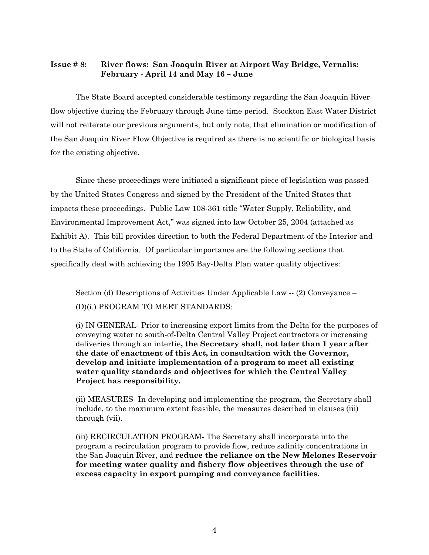## **Issue # 8: River flows: San Joaquin River at Airport Way Bridge, Vernalis: February - April 14 and May 16 – June**

 The State Board accepted considerable testimony regarding the San Joaquin River flow objective during the February through June time period. Stockton East Water District will not reiterate our previous arguments, but only note, that elimination or modification of the San Joaquin River Flow Objective is required as there is no scientific or biological basis for the existing objective.

 Since these proceedings were initiated a significant piece of legislation was passed by the United States Congress and signed by the President of the United States that impacts these proceedings. Public Law 108-361 title "Water Supply, Reliability, and Environmental Improvement Act," was signed into law October 25, 2004 (attached as Exhibit A). This bill provides direction to both the Federal Department of the Interior and to the State of California. Of particular importance are the following sections that specifically deal with achieving the 1995 Bay-Delta Plan water quality objectives:

Section (d) Descriptions of Activities Under Applicable Law -- (2) Conveyance – (D)(i.) PROGRAM TO MEET STANDARDS:

(i) IN GENERAL- Prior to increasing export limits from the Delta for the purposes of conveying water to south-of-Delta Central Valley Project contractors or increasing deliveries through an intertie**, the Secretary shall, not later than 1 year after the date of enactment of this Act, in consultation with the Governor, develop and initiate implementation of a program to meet all existing water quality standards and objectives for which the Central Valley Project has responsibility.** 

(ii) MEASURES- In developing and implementing the program, the Secretary shall include, to the maximum extent feasible, the measures described in clauses (iii) through (vii).

(iii) RECIRCULATION PROGRAM- The Secretary shall incorporate into the program a recirculation program to provide flow, reduce salinity concentrations in the San Joaquin River, and **reduce the reliance on the New Melones Reservoir for meeting water quality and fishery flow objectives through the use of excess capacity in export pumping and conveyance facilities.**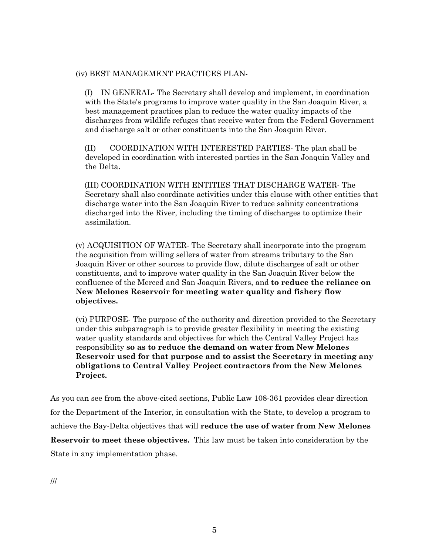#### (iv) BEST MANAGEMENT PRACTICES PLAN-

(I) IN GENERAL- The Secretary shall develop and implement, in coordination with the State's programs to improve water quality in the San Joaquin River, a best management practices plan to reduce the water quality impacts of the discharges from wildlife refuges that receive water from the Federal Government and discharge salt or other constituents into the San Joaquin River.

(II) COORDINATION WITH INTERESTED PARTIES- The plan shall be developed in coordination with interested parties in the San Joaquin Valley and the Delta.

(III) COORDINATION WITH ENTITIES THAT DISCHARGE WATER- The Secretary shall also coordinate activities under this clause with other entities that discharge water into the San Joaquin River to reduce salinity concentrations discharged into the River, including the timing of discharges to optimize their assimilation.

(v) ACQUISITION OF WATER- The Secretary shall incorporate into the program the acquisition from willing sellers of water from streams tributary to the San Joaquin River or other sources to provide flow, dilute discharges of salt or other constituents, and to improve water quality in the San Joaquin River below the confluence of the Merced and San Joaquin Rivers, and **to reduce the reliance on New Melones Reservoir for meeting water quality and fishery flow objectives.**

(vi) PURPOSE- The purpose of the authority and direction provided to the Secretary under this subparagraph is to provide greater flexibility in meeting the existing water quality standards and objectives for which the Central Valley Project has responsibility **so as to reduce the demand on water from New Melones Reservoir used for that purpose and to assist the Secretary in meeting any obligations to Central Valley Project contractors from the New Melones Project.**

As you can see from the above-cited sections, Public Law 108-361 provides clear direction for the Department of the Interior, in consultation with the State, to develop a program to achieve the Bay-Delta objectives that will **reduce the use of water from New Melones Reservoir to meet these objectives.** This law must be taken into consideration by the State in any implementation phase.